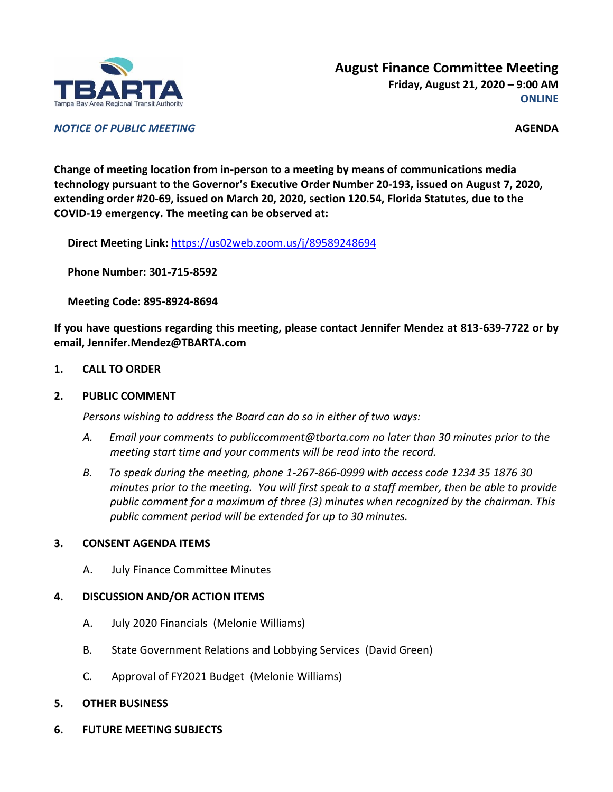

*NOTICE OF PUBLIC MEETING* **AGENDA**

**Change of meeting location from in-person to a meeting by means of communications media technology pursuant to the Governor's Executive Order Number 20-193, issued on August 7, 2020, extending order #20-69, issued on March 20, 2020, section 120.54, Florida Statutes, due to the COVID-19 emergency. The meeting can be observed at:**

**Direct Meeting Link:** <https://us02web.zoom.us/j/89589248694>

**Phone Number: 301-715-8592**

**Meeting Code: 895-8924-8694**

**If you have questions regarding this meeting, please contact Jennifer Mendez at 813-639-7722 or by email, Jennifer.Mendez@TBARTA.com**

**1. CALL TO ORDER**

#### **2. PUBLIC COMMENT**

*Persons wishing to address the Board can do so in either of two ways:*

- *A. Email your comments to publiccomment@tbarta.com no later than 30 minutes prior to the meeting start time and your comments will be read into the record.*
- *B. To speak during the meeting, phone 1-267-866-0999 with access code 1234 35 1876 30 minutes prior to the meeting. You will first speak to a staff member, then be able to provide public comment for a maximum of three (3) minutes when recognized by the chairman. This public comment period will be extended for up to 30 minutes.*

## **3. CONSENT AGENDA ITEMS**

A. July Finance Committee Minutes

## **4. DISCUSSION AND/OR ACTION ITEMS**

- A. July 2020 Financials (Melonie Williams)
- B. State Government Relations and Lobbying Services (David Green)
- C. Approval of FY2021 Budget (Melonie Williams)
- **5. OTHER BUSINESS**
- **6. FUTURE MEETING SUBJECTS**